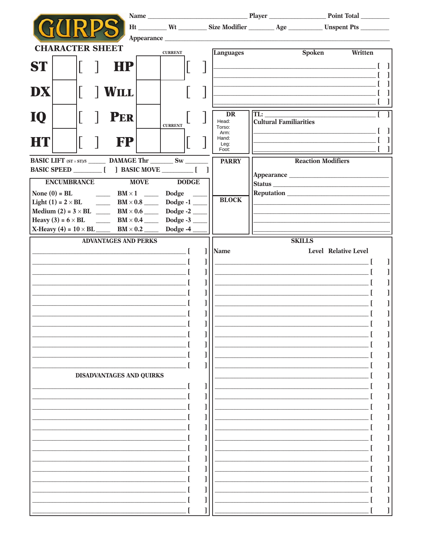|                                                       |                                               |                  | Ht _________ Wt __________ Size Modifier _________ Age ____________ Unspent Pts _________                               |
|-------------------------------------------------------|-----------------------------------------------|------------------|-------------------------------------------------------------------------------------------------------------------------|
|                                                       |                                               |                  |                                                                                                                         |
| <b>CHARACTER SHEET</b>                                | <b>CURRENT</b>                                | <b>Languages</b> | <b>Spoken</b><br>Written                                                                                                |
|                                                       |                                               |                  |                                                                                                                         |
| <b>ST</b><br>HP                                       |                                               |                  |                                                                                                                         |
|                                                       |                                               |                  |                                                                                                                         |
| DX<br><b>WILL</b>                                     |                                               |                  | <u> 1989 - Johann Barbara, martxa eta politikar</u>                                                                     |
|                                                       |                                               |                  |                                                                                                                         |
|                                                       |                                               | <b>DR</b>        | TL:                                                                                                                     |
| <b>PER</b><br>10                                      |                                               | Head:            | <b>Cultural Familiarities</b>                                                                                           |
|                                                       | <b>CURRENT</b>                                | Torso:<br>Arm:   |                                                                                                                         |
| HT                                                    | <b>FP</b>                                     | Hand:<br>Leg:    |                                                                                                                         |
|                                                       |                                               | Foot:            |                                                                                                                         |
| <b>BASIC LIFT</b> $(sT \times ST)/5$ DAMAGE Thr SW    |                                               | <b>PARRY</b>     | <b>Reaction Modifiers</b>                                                                                               |
|                                                       |                                               | 1                | Appearance                                                                                                              |
| <b>ENCUMBRANCE</b>                                    | <b>MOVE</b><br><b>DODGE</b>                   |                  | Status Latin Communication and the communication of the communication of the communication of the communication         |
| None $(0)$ = BL<br>$\frac{BM \times 1}{am}$           | Dodge                                         |                  |                                                                                                                         |
| Light (1) = $2 \times BL$ BM $\times$ 0.8 Dodge -1    |                                               | <b>BLOCK</b>     |                                                                                                                         |
|                                                       |                                               |                  |                                                                                                                         |
| Heavy (3) = $6 \times BL$                             | $\frac{1}{2}$ BM × 0.4 Dodge -3               |                  |                                                                                                                         |
| X-Heavy (4) = $10 \times BL$ BM $\times 0.2$ Dodge -4 |                                               |                  |                                                                                                                         |
| <b>ADVANTAGES AND PERKS</b>                           |                                               |                  | <b>SKILLS</b>                                                                                                           |
|                                                       | <u> 1989 - Johann John Stone, mars et al.</u> | 1<br>Name        | Level Relative Level                                                                                                    |
|                                                       |                                               | 1                | <u> 1989 - Johann Stoff, deutscher Stoffen und der Stoffen und der Stoffen und der Stoffen und der Stoffen und der </u> |
|                                                       |                                               | I                | <u> 1980 - Johann Barbara, martxa eta politikar</u>                                                                     |
|                                                       |                                               | 1                | <u> 1989 - Johann Barn, mars eta bainar eta industrial eta baina eta baina eta baina eta baina eta baina eta bain</u>   |
|                                                       |                                               | l                | <u> 1990 - Johann John Harry Harry Harry Harry Harry Harry Harry Harry Harry Harry Harry Harry Harry Harry Harry</u>    |
|                                                       |                                               | 1                |                                                                                                                         |
|                                                       |                                               | 1                |                                                                                                                         |
|                                                       |                                               |                  |                                                                                                                         |
|                                                       |                                               |                  |                                                                                                                         |
|                                                       |                                               |                  |                                                                                                                         |
|                                                       |                                               |                  |                                                                                                                         |
|                                                       |                                               |                  |                                                                                                                         |
| <b>DISADVANTAGES AND QUIRKS</b>                       |                                               |                  |                                                                                                                         |
|                                                       |                                               |                  |                                                                                                                         |
|                                                       |                                               |                  |                                                                                                                         |
|                                                       |                                               |                  |                                                                                                                         |
|                                                       |                                               |                  |                                                                                                                         |
|                                                       |                                               |                  |                                                                                                                         |
|                                                       |                                               |                  |                                                                                                                         |
|                                                       |                                               |                  |                                                                                                                         |
|                                                       |                                               |                  |                                                                                                                         |
|                                                       |                                               |                  |                                                                                                                         |
|                                                       |                                               |                  |                                                                                                                         |
|                                                       |                                               |                  |                                                                                                                         |
|                                                       |                                               |                  |                                                                                                                         |
|                                                       |                                               |                  |                                                                                                                         |